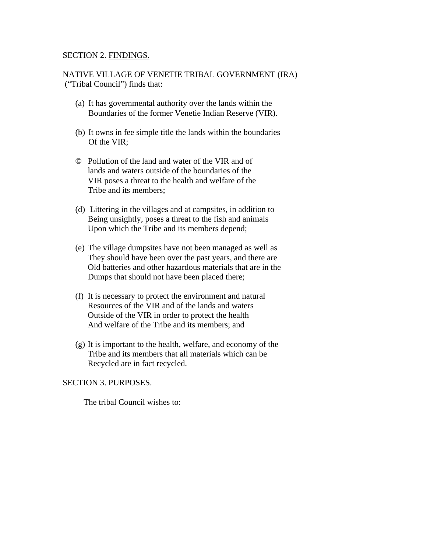#### SECTION 2. FINDINGS.

NATIVE VILLAGE OF VENETIE TRIBAL GOVERNMENT (IRA) ("Tribal Council") finds that:

- (a) It has governmental authority over the lands within the Boundaries of the former Venetie Indian Reserve (VIR).
- (b) It owns in fee simple title the lands within the boundaries Of the VIR;
- © Pollution of the land and water of the VIR and of lands and waters outside of the boundaries of the VIR poses a threat to the health and welfare of the Tribe and its members;
- (d) Littering in the villages and at campsites, in addition to Being unsightly, poses a threat to the fish and animals Upon which the Tribe and its members depend;
- (e) The village dumpsites have not been managed as well as They should have been over the past years, and there are Old batteries and other hazardous materials that are in the Dumps that should not have been placed there;
- (f) It is necessary to protect the environment and natural Resources of the VIR and of the lands and waters Outside of the VIR in order to protect the health And welfare of the Tribe and its members; and
- (g) It is important to the health, welfare, and economy of the Tribe and its members that all materials which can be Recycled are in fact recycled.

## SECTION 3. PURPOSES.

The tribal Council wishes to: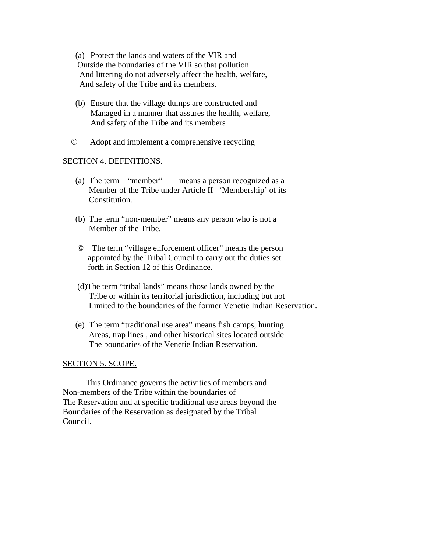(a) Protect the lands and waters of the VIR and Outside the boundaries of the VIR so that pollution And littering do not adversely affect the health, welfare, And safety of the Tribe and its members.

- (b) Ensure that the village dumps are constructed and Managed in a manner that assures the health, welfare, And safety of the Tribe and its members
- © Adopt and implement a comprehensive recycling

#### SECTION 4. DEFINITIONS.

- (a) The term "member" means a person recognized as a Member of the Tribe under Article II –'Membership' of its Constitution.
- (b) The term "non-member" means any person who is not a Member of the Tribe.
- © The term "village enforcement officer" means the person appointed by the Tribal Council to carry out the duties set forth in Section 12 of this Ordinance.
- (d)The term "tribal lands" means those lands owned by the Tribe or within its territorial jurisdiction, including but not Limited to the boundaries of the former Venetie Indian Reservation.
- (e) The term "traditional use area" means fish camps, hunting Areas, trap lines , and other historical sites located outside The boundaries of the Venetie Indian Reservation.

## SECTION 5. SCOPE.

 This Ordinance governs the activities of members and Non-members of the Tribe within the boundaries of The Reservation and at specific traditional use areas beyond the Boundaries of the Reservation as designated by the Tribal Council.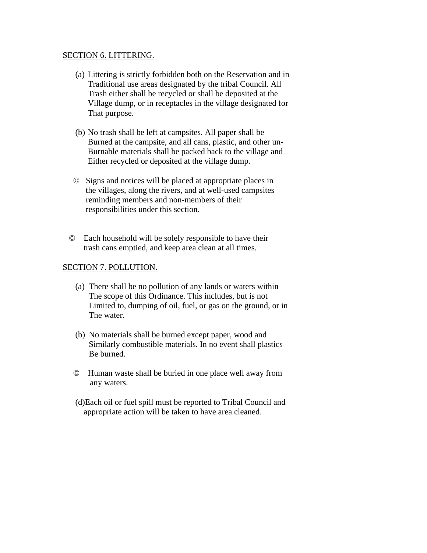#### SECTION 6. LITTERING.

- (a) Littering is strictly forbidden both on the Reservation and in Traditional use areas designated by the tribal Council. All Trash either shall be recycled or shall be deposited at the Village dump, or in receptacles in the village designated for That purpose.
- (b) No trash shall be left at campsites. All paper shall be Burned at the campsite, and all cans, plastic, and other un-Burnable materials shall be packed back to the village and Either recycled or deposited at the village dump.
- © Signs and notices will be placed at appropriate places in the villages, along the rivers, and at well-used campsites reminding members and non-members of their responsibilities under this section.
- © Each household will be solely responsible to have their trash cans emptied, and keep area clean at all times.

# SECTION 7. POLLUTION.

- (a) There shall be no pollution of any lands or waters within The scope of this Ordinance. This includes, but is not Limited to, dumping of oil, fuel, or gas on the ground, or in The water.
- (b) No materials shall be burned except paper, wood and Similarly combustible materials. In no event shall plastics Be burned.
- © Human waste shall be buried in one place well away from any waters.
- (d)Each oil or fuel spill must be reported to Tribal Council and appropriate action will be taken to have area cleaned.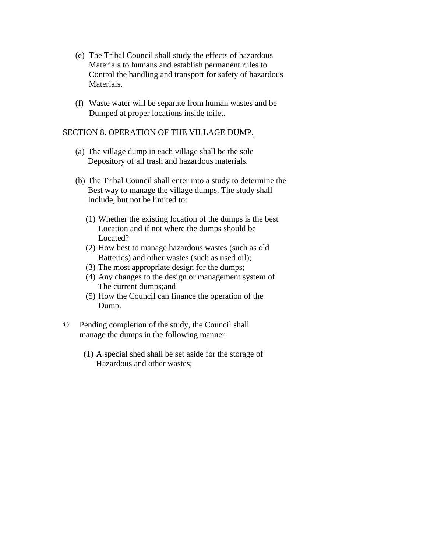- (e) The Tribal Council shall study the effects of hazardous Materials to humans and establish permanent rules to Control the handling and transport for safety of hazardous Materials.
- (f) Waste water will be separate from human wastes and be Dumped at proper locations inside toilet.

#### SECTION 8. OPERATION OF THE VILLAGE DUMP.

- (a) The village dump in each village shall be the sole Depository of all trash and hazardous materials.
- (b) The Tribal Council shall enter into a study to determine the Best way to manage the village dumps. The study shall Include, but not be limited to:
	- (1) Whether the existing location of the dumps is the best Location and if not where the dumps should be Located?
	- (2) How best to manage hazardous wastes (such as old Batteries) and other wastes (such as used oil);
	- (3) The most appropriate design for the dumps;
	- (4) Any changes to the design or management system of The current dumps;and
	- (5) How the Council can finance the operation of the Dump.
- © Pending completion of the study, the Council shall manage the dumps in the following manner:
	- (1) A special shed shall be set aside for the storage of Hazardous and other wastes;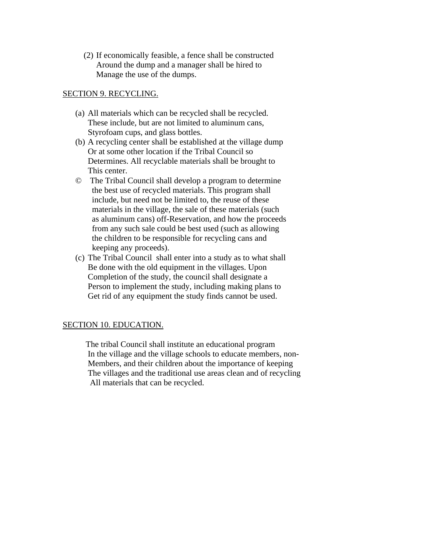(2) If economically feasible, a fence shall be constructed Around the dump and a manager shall be hired to Manage the use of the dumps.

## SECTION 9. RECYCLING.

- (a) All materials which can be recycled shall be recycled. These include, but are not limited to aluminum cans, Styrofoam cups, and glass bottles.
- (b) A recycling center shall be established at the village dump Or at some other location if the Tribal Council so Determines. All recyclable materials shall be brought to This center.
- © The Tribal Council shall develop a program to determine the best use of recycled materials. This program shall include, but need not be limited to, the reuse of these materials in the village, the sale of these materials (such as aluminum cans) off-Reservation, and how the proceeds from any such sale could be best used (such as allowing the children to be responsible for recycling cans and keeping any proceeds).
- (c) The Tribal Council shall enter into a study as to what shall Be done with the old equipment in the villages. Upon Completion of the study, the council shall designate a Person to implement the study, including making plans to Get rid of any equipment the study finds cannot be used.

# SECTION 10. EDUCATION.

 The tribal Council shall institute an educational program In the village and the village schools to educate members, non- Members, and their children about the importance of keeping The villages and the traditional use areas clean and of recycling All materials that can be recycled.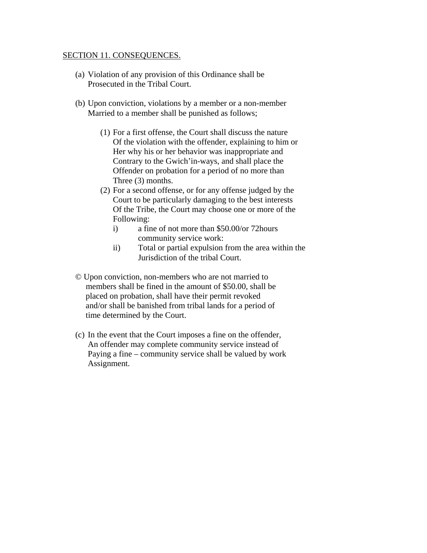#### SECTION 11. CONSEQUENCES.

- (a) Violation of any provision of this Ordinance shall be Prosecuted in the Tribal Court.
- (b) Upon conviction, violations by a member or a non-member Married to a member shall be punished as follows;
	- (1) For a first offense, the Court shall discuss the nature Of the violation with the offender, explaining to him or Her why his or her behavior was inappropriate and Contrary to the Gwich'in-ways, and shall place the Offender on probation for a period of no more than Three (3) months.
	- (2) For a second offense, or for any offense judged by the Court to be particularly damaging to the best interests Of the Tribe, the Court may choose one or more of the Following:
		- i) a fine of not more than \$50.00/or 72hours community service work:
		- ii) Total or partial expulsion from the area within the Jurisdiction of the tribal Court.
- © Upon conviction, non-members who are not married to members shall be fined in the amount of \$50.00, shall be placed on probation, shall have their permit revoked and/or shall be banished from tribal lands for a period of time determined by the Court.
- (c) In the event that the Court imposes a fine on the offender, An offender may complete community service instead of Paying a fine – community service shall be valued by work Assignment.